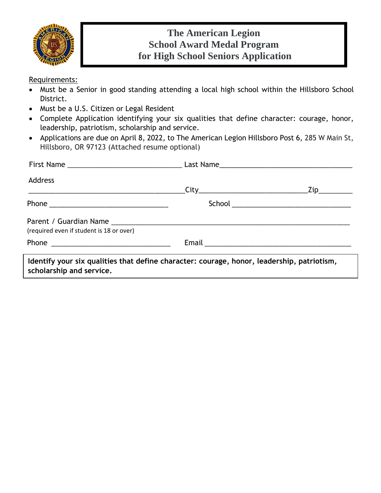

### **The American Legion School Award Medal Program for High School Seniors Application**

Requirements:

- Must be a Senior in good standing attending a local high school within the Hillsboro School District.
- Must be a U.S. Citizen or Legal Resident
- Complete Application identifying your six qualities that define character: courage, honor, leadership, patriotism, scholarship and service.
- Applications are due on April 8, 2022, to The American Legion Hillsboro Post 6, 285 W Main St, Hillsboro, OR 97123 (Attached resume optional)

| Address                                                                                                                |                                                                                                                |                    |
|------------------------------------------------------------------------------------------------------------------------|----------------------------------------------------------------------------------------------------------------|--------------------|
|                                                                                                                        |                                                                                                                | $\mathsf{Zip}\_\_$ |
|                                                                                                                        |                                                                                                                |                    |
| (required even if student is 18 or over)                                                                               |                                                                                                                |                    |
|                                                                                                                        | Email 2008 - 2008 - 2010 - 2010 - 2010 - 2011 - 2012 - 2014 - 2016 - 2017 - 2018 - 2019 - 2010 - 2010 - 2010 - |                    |
| Identify your six qualities that define character: courage, honor, leadership, patriotism,<br>scholarship and service. |                                                                                                                |                    |